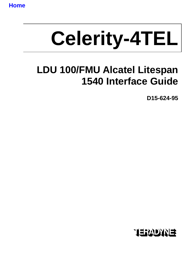# **Celerity-4TEL**

## **LDU 100/FMU Alcatel Litespan 1540 Interface Guide**

**D15-624-95** 

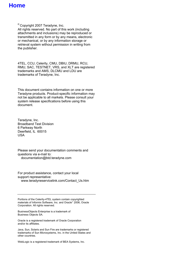© Copyright 2007 Teradyne, Inc.

All rights reserved. No part of this work (including attachments and inclusions) may be reproduced or transmitted in any form or by any means, electronic or mechanical, or by any information storage or retrieval system without permission in writing from the publisher.

4TEL, CCU, Celerity, CMU, DBIU, DRMU, RCU, RMU, SAC, TESTNET, VRS, and XLT are registered trademarks and AMS, DLCMU and LDU are trademarks of Teradyne, Inc.

This document contains information on one or more Teradyne products. Product-specific information may not be applicable to all markets. Please consult your system release specifications before using this document.

Teradyne, Inc. Broadband Test Division 6 Parkway North Deerfield, IL 60015 USA

Please send your documentation comments and questions via e-mail to: documentation@btd.teradyne.com

For product assistance, contact your local support representative: www.teradyneservicelink.com/Contact\_Us.htm

Portions of the Celerity-4TEL system contain copyrighted materials of Informix Software, Inc. and Oracle<sup>®</sup> 2006, Oracle Corporation. All rights reserved.

BusinessObjects Enterprise is a trademark of Business Objects SA.

Oracle is a registered trademark of Oracle Corporation and/or its affiliates.

Java, Sun, Solaris and Sun Fire are trademarks or registered trademarks of Sun Microsystems, Inc. in the United States and other countries.

WebLogic is a registered trademark of BEA Systems, Inc.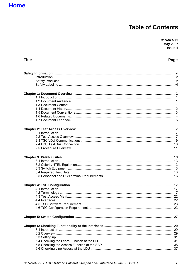## **Table of Contents**

#### **Title**

#### Page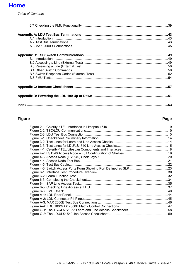**Table of Contents** 

## **Figure**

#### Page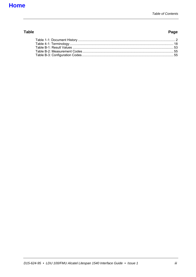#### **Table**

## Page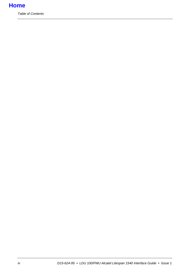*Table of Contents*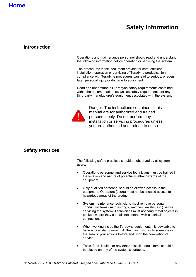## **Safety Information**

#### <span id="page-6-0"></span>**Introduction**

Operations and maintenance personnel should read and understand the following information before operating or servicing the system.

The procedures in this document provide for safe, efficient installation, operation or servicing of Teradyne products. Noncompliance with Teradyne procedures can lead to serious, or even fatal, personal injury or damage to equipment.

Read and understand all Teradyne safety requirements contained within the documentation, as well as safety requirements for any third-party manufacturer's equipment associated with the system.



Danger: The instructions contained in this manual are for authorized and trained personnel only. Do not perform any installation or servicing procedures unless you are authorized and trained to do so.

#### **Safety Practices**

The following safety practices should be observed by all system users:

- Operations personnel and service technicians must be trained in the location and nature of potentially lethal hazards of the equipment.
- Only qualified personnel should be allowed access to the equipment. Operators (users) must not be allowed access to hazardous areas of the product.
- System maintenance technicians must remove personal conductive items (such as rings, watches, jewelry, etc.) before servicing the system. Technicians must not carry metal objects in pockets where they can fall into contact with electrical connections.
- When working inside the Teradyne equipment, it is advisable to have an assistant present. At the minimum, notify someone in the area of your actions before and upon the completion of service.
- Tools, food, liquids, or any other miscellaneous items should not be placed on any of the system's surfaces.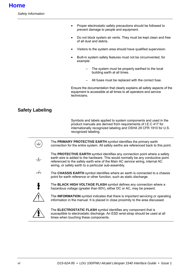<span id="page-7-0"></span>*Safety Information* 

- Proper electrostatic safety precautions should be followed to prevent damage to people and equipment.
- Do not block system air vents. They must be kept clean and free of all dust and debris.
- Visitors to the system area should have qualified supervision.
- Built-in system safety features must not be circumvented, for example:
	- The system must be properly earthed to the local building earth at all times.
	- All fuses must be replaced with the correct fuse.

Ensure the documentation that clearly explains all safety aspects of the equipment is accessible at all times to all operators and service technicians.

#### **Safety Labeling**

Symbols and labels applied to system components and used in the product manuals are derived from requirements of I.E.C 417 for internationally recognized labeling and OSHA 29 CFR 1910 for U.S. recognized labeling.



The **PRIMARY PROTECTIVE EARTH** symbol identifies the primary earth connection for the entire system. All safety earths are referenced back to this point.



 $\overline{\phantom{a}}$ The **CHASSIS EARTH** symbol identifies where an earth is connected to a chassis point for earth reference or other function, such as static discharge.



The **BLACK HIGH VOLTAGE FLASH** symbol defines any connection where a hazardous voltage (greater than 60V), either DC or AC, may be present.



The **INFORMATION** symbol indicates that there is important servicing or operating information in the manual. It is placed in close proximity to the area discussed.



The **ELECTROSTATIC FLASH** symbol identifies any component that is susceptible to electrostatic discharge. An ESD wrist-strap should be used at all times when touching these components.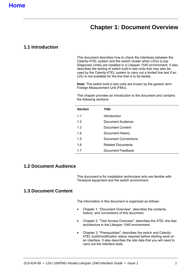## **Chapter 1: Document Overview**

#### <span id="page-8-0"></span>**1.1 Introduction**

This document describes how to check the interfaces between the Celerity-4TEL system and the switch cluster when LDUs (Loop Diagnostic Units) are installed in a Litespan 1540 environment. It also describes the testing of switch built-in test units that may also be used by the Celerity-4TEL system to carry out a limited line test if an LDU is not available for the line that is to be tested.

**Note:** The switch built in test units are known by the generic term Foreign Measurement Unit (FMU).

This chapter provides an introduction to the document and contains the following sections:

| <b>Section</b> | Title                    |
|----------------|--------------------------|
| 1.1            | Introduction             |
| 1.2            | Document Audience        |
| 1.3            | Document Content         |
| 1.4            | <b>Document History</b>  |
| 1.5            | Document Conventions     |
| 1.6            | <b>Related Documents</b> |
| 1.7            | Document Feedback        |
|                |                          |

#### **1.2 Document Audience**

This document is for installation technicians who are familiar with Teradyne equipment and the switch environment.

#### **1.3 Document Content**

The information in this document is organized as follows:

- Chapter 1, "Document Overview", describes the contents, history, and conventions of this document.
- Chapter 2, "Test Access Overview", describes the 4TEL line test architecture in the Litespan 1540 environment.
- Chapter 3, "Prerequisites", describes the switch and Celerity-4TEL build/modification status required before starting work on an interface. It also describes the site data that you will need to carry out the interface tests.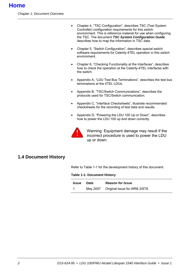<span id="page-9-0"></span>*Chapter 1: Document Overview* 

- Chapter 4, "TSC Configuration", describes TSC (Test System Controller) configuration requirements for this switch environment. This is reference material for use when configuring the TSC. The document *TSC System Configuration Guide* describes how to map the information in TSC data.
- Chapter 5, "Switch Configuration", describes special switch software requirements for Celerity-4TEL operation in this switch environment.
- Chapter 6, "Checking Functionality at the Interfaces", describes how to check the operation at the Celerity-4TEL interfaces with the switch.
- Appendix A, "LDU Test Bus Terminations", describes the test bus terminations at the 4TEL LDUs.
- Appendix B, "TSC/Switch Communications", describes the protocols used for TSC/Switch communication.
- Appendix C, "Interface Checksheets", illustrate recommended checksheets for the recording of test data and results.
- Appendix D, "Powering the LDU 100 Up or Down", describes how to power the LDU 100 up and down correctly.



Warning: Equipment damage may result if the incorrect procedure is used to power the LDU up or down.

#### **1.4 Document History**

Refer to Table 1-1 for the development history of this document.

#### **Table 1-1: Document History**

| Issue | <b>Date</b> | <b>Reason for Issue</b>                |
|-------|-------------|----------------------------------------|
|       |             | May 2007 Original issue for WR6.3/ST6. |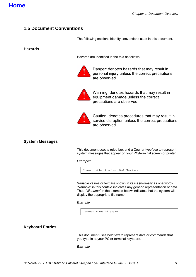#### <span id="page-10-0"></span>**1.5 Document Conventions**

The following sections identify conventions used in this document.

#### **Hazards**

Hazards are identified in the text as follows:



Danger: denotes hazards that may result in personal injury unless the correct precautions are observed.



Warning: denotes hazards that may result in equipment damage unless the correct precautions are observed.



Caution: denotes procedures that may result in service disruption unless the correct precautions are observed.

#### **System Messages**

This document uses a ruled box and a Courier typeface to represent system messages that appear on your PC/terminal screen or printer.

*Example:* 

Communication Problem: Bad Checksum

Variable values or text are shown in italics (normally as one word). "Variable" in this context indicates any generic representation of data. Thus, "*filename*" in the example below indicates that the system will display the appropriate file name.

*Example:* 

Corrupt File: *filename*

#### **Keyboard Entries**

This document uses bold text to represent data or commands that you type in at your PC or terminal keyboard.

*Example:*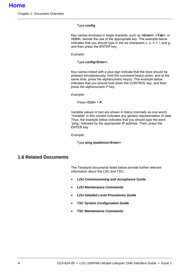<span id="page-11-0"></span>*Chapter 1: Document Overview* 

#### Type **config**.

Key names enclosed in angle brackets, such as **<Enter>**, **<Tab>**, or **<Ctrl>**, denote the use of the appropriate key. The example below indicates that you should type in the six characters c, o, n, f, i, and g, and then press the ENTER key.

*Example:* 

Type **config<Enter>**.

Key names linked with a plus sign indicate that the keys should be pressed simultaneously; hold the command key(s) down, and at the same time, press the alphanumeric key(s). The example below indicates that you should hold down the CONTROL key, and then press the alphanumeric P key.

*Example:* 

Press **<Ctrl>** + **P**.

Variable values or text are shown in italics (normally as one word). "Variable" in this context indicates any generic representation of data. Thus, the example below indicates that you should type the word "ping," followed by the appropriate IP address. Then, press the ENTER key.

*Example:* 

Type **ping** *ipaddress***<Enter>**.

#### **1.6 Related Documents**

The Teradyne documents listed below provide further relevant information about the LDU and TSC:

- *LDU Commissioning and Acceptance Guide*
- *LDU Maintenance Commands*
- *LDU Detailed Level Procedures Guide*
- *TSC System Configuration Guide*
- *TSC Maintenance Commands*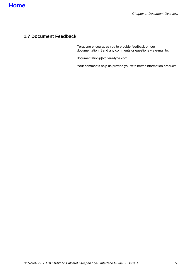## <span id="page-12-0"></span>**1.7 Document Feedback**

Teradyne encourages you to provide feedback on our documentation. Send any comments or questions via e-mail to:

documentation@btd.teradyne.com

Your comments help us provide you with better information products.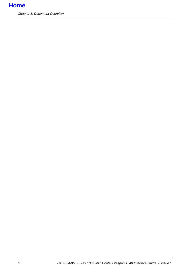*Chapter 1: Document Overview*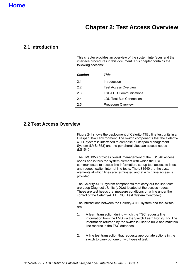## **Chapter 2: Test Access Overview**

#### <span id="page-14-0"></span>**2.1 Introduction**

This chapter provides an overview of the system interfaces and the interface procedures in this document. This chapter contains the following sections:

| <b>Section</b> | Title                         |
|----------------|-------------------------------|
| 21             | Introduction                  |
| 22             | <b>Test Access Overview</b>   |
| 2.3            | <b>TSC/LDU Communications</b> |
| 24             | LDU Test Bus Connection       |
| 2.5            | Procedure Overview            |

#### **2.2 Test Access Overview**

Figure 2-1 shows the deployment of Celerity-4TEL line test units in a Litespan 1540 environment. The switch components that the Celerity-4TEL system is interfaced to comprise a Litespan Management System (LMS1353) and the peripheral Litespan access nodes (LS1540).

The LMS1353 provides overall management of the LS1540 access nodes and is thus the system element with which the TSC communicates to access line information, set up test access to lines, and request switch internal line tests. The LS1540 are the system elements at which lines are terminated and at which line access is provided.

The Celerity-4TEL system components that carry out the line tests are Loop Diagnostic Units (LDUs) located at the access nodes. These are test heads that measure conditions on a line under the control of the Celerity-4TEL TSC (Test System Controller).

The interactions between the Celerity-4TEL system and the switch are:

- **1.** A learn transaction during which the TSC requests line information from the LMS via the Switch Learn Port (SLP). The information returned by the switch is used to build and maintain line records in the TSC database.
- **2.** A line test transaction that requests appropriate actions in the switch to carry out one of two types of test: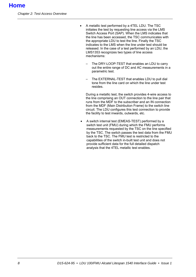*Chapter 2: Test Access Overview* 

- A metallic test performed by a 4TEL LDU. The TSC initiates the test by requesting line access via the LMS Switch Access Port (SAP). When the LMS indicates that the line has been accessed, the TSC communicates with the appropriate LDU to test the line. Finally the TSC indicates to the LMS when the line under test should be released. In the case of a test performed by an LDU, the LMS1353 recognizes two types of line access mechanisms:
	- The DRY-LOOP-TEST that enables an LDU to carry out the entire range of DC and AC measurements in a parametric test.
	- The EXTERNAL-TEST that enables LDU to pull dial tone from the line card on which the line under test resides.

During a metallic test, the switch provides 4-wire access to the line comprising an OUT connection to the line pair that runs from the MDF to the subscriber and an IN connection from the MDF (Main Distribution Frame) to the switch line circuit. The LDU configures this test connection to provide the facility to test inwards, outwards, etc.

• A switch internal test (EMEAS-TEST) performed by a switch test unit (FMU) during which the FMU performs measurements requested by the TSC on the line specified by the TSC. The switch passes the test data from the FMU back to the TSC. The FMU test is restricted to the capabilities of the switch in-built test unit and does not provide sufficient data for the full detailed dispatch analysis that the 4TEL metallic test enables.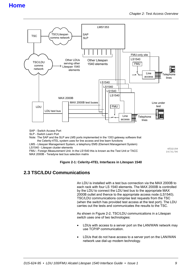<span id="page-16-0"></span>

Note: The SAP and the SLP are LMS ports implemented in the 1353 gateway software that the Celerity-4TEL system uses for line access and line learn functions

LMS - Litespan Management System, a telephony EMS (Element Management System) LS1540 - Litespan cluster elements

FMU - Foreign Measurement Unit. In the LS1540 this is known as the Test Unit or TACC MAX 2000B - Teradyne test bus selection matrix

4T22158 10/31/06

#### **Figure 2-1: Celerity-4TEL Interfaces in Litespan 1540**

#### **2.3 TSC/LDU Communications**

An LDU is installed with a test bus connection via the MAX 2000B to each rack with four LS 1540 elements. The MAX 2000B is controlled by the LDU to connect the LDU test bus to the appropriate MAX 2000B outlet and thence to the appropriate access node (LS1540). TSC/LDU communications comprise test requests from the TSC (when the switch has provided test access at the test port). The LDU carries out the tests and communicates the results to the TSC.

As shown in Figure 2-2, TSC/LDU communications in a Litespan switch uses one of two technologies:

- LDUs with access to a server port on the LAN/WAN network may use TCP/IP communication.
- LDUs that do not have access to a server port on the LAN/WAN network use dial-up modem technology.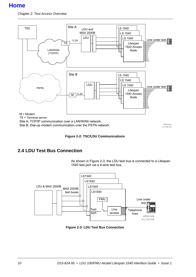*Chapter 2: Test Access Overview* 

<span id="page-17-0"></span>

#### **Figure 2-2: TSC/LDU Communications**

#### **2.4 LDU Test Bus Connection**

As shown in Figure 2-3, the LDU test bus is connected to a Litespan 1540 test port via a 4-wire test bus.



**Figure 2-3: LDU Test Bus Connection**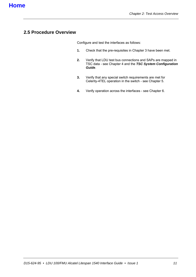#### <span id="page-18-0"></span>**2.5 Procedure Overview**

Configure and test the interfaces as follows:

- **1.** Check that the pre-requisites in Chapter 3 have been met.
- **2.** Verify that LDU test bus connections and SAPs are mapped in TSC data - see Chapter 4 and the *TSC System Configuration Guide*.
- **3.** Verify that any special switch requirements are met for Celerity-4TEL operation in the switch - see Chapter 5.
- **4.** Verify operation across the interfaces see Chapter 6.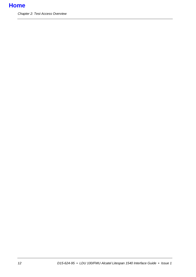*Chapter 2: Test Access Overview*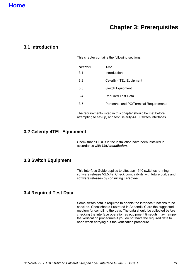## **Chapter 3: Prerequisites**

#### <span id="page-20-0"></span>**3.1 Introduction**

This chapter contains the following sections:

| <b>Section</b> | Title                                  |
|----------------|----------------------------------------|
| 3.1            | Introduction                           |
| 3.2            | Celerity-4TEL Equipment                |
| 3.3            | Switch Equipment                       |
| 3.4            | <b>Required Test Data</b>              |
| 3.5            | Personnel and PC/Terminal Requirements |

The requirements listed in this chapter should be met before attempting to set-up, and test Celerity-4TEL/switch interfaces.

#### **3.2 Celerity-4TEL Equipment**

Check that all LDUs in the installation have been installed in accordance with *LDU Installation*.

#### **3.3 Switch Equipment**

This Interface Guide applies to Litespan 1540 switches running software release V2.5.42. Check compatibility with future builds and software releases by consulting Teradyne.

#### **3.4 Required Test Data**

Some switch data is required to enable the interface functions to be checked. Checksheets illustrated in Appendix C are the suggested medium for compiling the data. The data should be collected before checking the interface operation as equipment timeouts may hamper the verification procedures if you do not have the required data to hand when carrying out the verification procedure.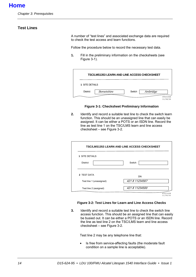<span id="page-21-0"></span>*Chapter 3: Prerequisites* 

#### **Test Lines**

A number of "test lines" and associated exchange data are required to check the test access and learn functions.

Follow the procedure below to record the necessary test data.

**1.** Fill in the preliminary information on the checksheets (see Figure 3-1).

| <b>TSC/LMS1353 LEARN AND LINE ACCESS CHECKSHEET</b> |                    |        |          |                      |
|-----------------------------------------------------|--------------------|--------|----------|----------------------|
| 1 SITE DETAILS                                      |                    |        |          |                      |
| <b>District</b>                                     | <b>Borsetshire</b> | Switch | Ambridge |                      |
|                                                     |                    |        |          | 4T22166A<br>11/08/06 |

#### **Figure 3-1: Checksheet Preliminary Information**

**2.** Identify and record a suitable test line to check the switch learn function. This should be an unassigned line that can easily be assigned. It can be either a POTS or an ISDN line. Record the line as test line 1 on the TSC/LMS learn and line access checksheet – see Figure 3-2.

|                          | <b>TSC/LMS1353 LEARN AND LINE ACCESS CHECKSHEET</b> |
|--------------------------|-----------------------------------------------------|
| 1 SITE DETAILS           |                                                     |
| <b>District</b>          | Switch                                              |
|                          |                                                     |
| 2 TEST DATA              | DN                                                  |
| Test line 1 (unassigned) | 421811234567                                        |
| Test line 2 (assigned)   | 421811234500                                        |

#### **Figure 3-2: Test Lines for Learn and Line Access Checks**

**3.** Identify and record a suitable test line to check the switch line access function. This should be an assigned line that can easily be busied out. It can be either a POTS or an ISDN line. Record the line as test line 2 on the TSC/LMS learn and line access checksheet – see Figure 3-2.

Test line 2 may be any telephone line that:

Is free from service-affecting faults (the moderate fault condition on a sample line is acceptable).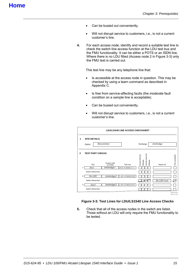- Can be busied out conveniently.
- Will not disrupt service to customers, i.e., is not a current customer's line.
- <span id="page-22-0"></span>**4.** For each access node, identify and record a suitable test line to check the switch line access function at the LDU test bus and the FMU functionality. It can be either a POTS or an ISDN line. Where there is no LDU fitted (Access node 2 in Figure 3-3) only the FMU test is carried out.

This test line may be any telephone line that:

- Is accessible at the access node in question. This may be checked by using a learn command as described in Appendix C.
- Is free from service-affecting faults (the moderate fault condition on a sample line is acceptable).
- Can be busied out conveniently.
- Will not disrupt service to customers, i.e., is not a current customer's line.

|                |                                |                         | LDU/LS1540 LINE ACCESS CHECKSHEET |                                                            |             |
|----------------|--------------------------------|-------------------------|-----------------------------------|------------------------------------------------------------|-------------|
| 1              | <b>SITE DETAILS</b>            |                         |                                   |                                                            |             |
|                | <b>District</b>                | <b>Borsetshire</b>      |                                   | Exchange                                                   | Ambridge    |
| $\mathbf{2}$   | <b>TEST PORT CHECKS</b><br>LDU | Access node<br>(LS1540) | Test Line                         | Access busy line<br>Access idle line<br>Release<br>Release | Report ref  |
|                | Am1<br>Switch internal test    | Ambridge1               | 421 8 56561111                    |                                                            |             |
| $\overline{2}$ | No LDU<br>Switch internal test | Ambridge2               | 421 8 56561222                    |                                                            | No LDU test |
| 3              | Am3<br>Switch internal test    | Ambridge3               | 421 8 56515151                    |                                                            |             |

#### **Figure 3-3: Test Lines for LDU/LS1540 Line Access Checks**

**5.** Check that all of the access nodes in the switch are listed. Those without an LDU will only require the FMU functionality to be tested.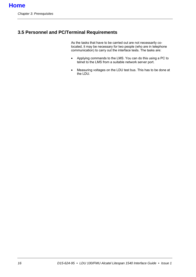## <span id="page-23-0"></span>**3.5 Personnel and PC/Terminal Requirements**

As the tasks that have to be carried out are not necessarily colocated, it may be necessary for two people (who are in telephone communication) to carry out the interface tests. The tasks are:

- Applying commands to the LMS. You can do this using a PC to telnet to the LMS from a suitable network server port.
- Measuring voltages on the LDU test bus. This has to be done at the LDU.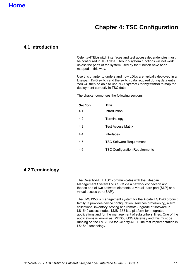## **Chapter 4: TSC Configuration**

#### <span id="page-24-0"></span>**4.1 Introduction**

Celerity-4TEL/switch interfaces and test access dependencies must be configured in TSC data. Through-system functions will not work unless the parts of the system used by the function have been mapped in this way.

Use this chapter to understand how LDUs are typically deployed in a Litespan 1540 switch and the switch data required during data entry. You will then be able to use *TSC System Configuration* to map the deployment correctly in TSC data.

The chapter comprises the following sections:

| <b>Section</b> | <b>Title</b>                          |
|----------------|---------------------------------------|
| 4.1            | Introduction                          |
| 4.2            | Terminology                           |
| 4.3            | <b>Test Access Matrix</b>             |
| 4.4            | Interfaces                            |
| 4.5            | <b>TSC Software Requirement</b>       |
| 4.6            | <b>TSC Configuration Requirements</b> |

#### **4.2 Terminology**

The Celerity-4TEL TSC communicates with the Litespan Management System LMS 1353 via a network connection and thence one of two software elements, a virtual learn port (SLP) or a virtual access port (SAP).

The LMS1353 is management system for the Alcatel LS1540 product family. It provides device configuration, services provisioning, alarm collections, inventory, testing and remote-upgrade of software in LS1540 access nodes. LMS1353 is a platform for integrated applications and for the management of subscribers' lines. One of the applications is known as DN1355 OSS Gateway and this must be running on the LMS1353 for Celerity-4TEL line test implementation in LS1540 technology.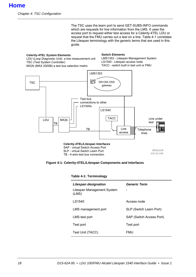<span id="page-25-0"></span>*Chapter 4: TSC Configuration* 

The TSC uses the learn port to send GET-SUBS-INFO commands which are requests for line information from the LMS. It uses the access port to request either test access for a Celerity-4TEL LDU or request that the FMU carries out a test on a line. Table 4-1 correlates the Litespan terminology with the generic terms that are used in this guide.

#### **Celerity-4TEL System Elements**

LDU (Loop Diagnostic Unit) a line measurement unit TSC (Test System Controller) MX2b (MAX 2000B) a test bus selection matrix

#### **Switch Elements**

LMS1353 - Litespan Management System LS1540 - Litespan access node TACC - switch built in test unit or FMU



SAP - virtual Switch Access Port

SLP - virtual Switch Learn Port TB - 4-wire test bus connection

4T22159 10/31/06

#### **Figure 4-1: Celerity-4TEL/Litespan Components and Interfaces**

#### **Table 4-1: Terminology**

| Litespan designation                | <b>Generic Term</b>      |
|-------------------------------------|--------------------------|
| Litespan Management System<br>(LMS) | -                        |
| LS1540                              | Access node              |
| LMS management port                 | SLP (Switch Learn Port)  |
| LMS test port                       | SAP (Switch Access Port) |
| Test port                           | Test port                |
| Test Unit (TACC)                    | FMU                      |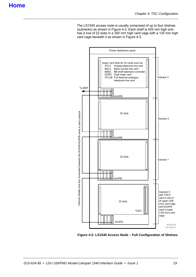<span id="page-26-0"></span>The LS1540 access node is usually composed of up to four shelves (subracks) as shown in Figure 4-2. Each shelf is 425 mm high and has a row of 22 slots in a 300 mm high card cage with a 125 mm high card cage beneath it as shown in Figure 4-3.



**Figure 4-2: LS1540 Access Node – Full Configuration of Shelves**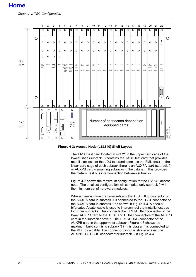#### *Chapter 4: TSC Configuration*

<span id="page-27-0"></span>

**Figure 4-3: Access Node (LS1540) Shelf Layout** 

The TACC test card located in slot 21 in the upper card cage of the lowest shelf (subrack 0) contains the TACC test card that provides metallic access for the LDU test (and executes the FMU test). In the lower card cage of each subrack there is an AUXPA card (subrack 0) or AUXPB card (remaining subracks in the cabinet). This provides the metallic test bus interconnection between subracks.

Figure 4-2 shows the maximum configuration for the LS1540 access node. The smallest configuration will comprise only subrack 0 with the minimum set of hardware modules.

Where there is more than one subrack the TEST BUS connector on the AUXPA card in subrack 0 is connected to the TEST connector on the AUXPB card in subrack 1 as shown in Figure 4-3. A special bifurcated Alcatel cable is used to interconnect the metallic test bus to further subracks. This connects the TEST/DURC connector of the lower AUXPB card to the TEST and DURC connectors of the AUXPB card in the subrack above it. The TEST/DURC connector of the AUXPB card in the uppermost subrack (Figure 4-3 shows the maximum build so this is subrack 3 in this diagram) is connected to the MDF by a cable. The connector pinout is shown against the AUXPB TEST BUS connector for subrack 3 in Figure 4-4.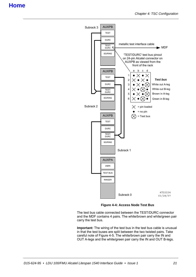<span id="page-28-0"></span>

**Figure 4-4: Access Node Test Bus** 

The test bus cable connected between the TEST/DURC connector and the MDF contains 4 pairs. The white/brown and white/green pair carry the test bus.

**Important:** The wiring of the test bus in the test bus cable is unusual in that the test buses are split between the two twisted pairs. Take careful note of Figure 4-5. The white/brown pair carry the IN and OUT A-legs and the white/green pair carry the IN and OUT B-legs.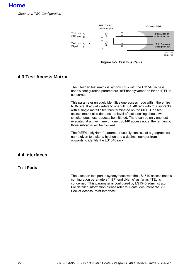<span id="page-29-0"></span>*Chapter 4: TSC Configuration* 



**Figure 4-5: Test Bus Cable** 

#### **4.3 Test Access Matrix**

The Litespan test matrix is synonymous with the LS1540 access node's configuration parameters "nEFriendlyName" as far as 4TEL is concerned.

This parameter uniquely identifies one access node within the entire NGN site. It actually refers to one full LS1540 rack with four subracks with a single metallic test bus terminated on the MDF. One test access matrix also denotes the level of test blocking should two simultaneous test requests be initiated. There can be only one test executed at a given time on one LS5140 access node, the remaining three subracks will be blocked.'

The "nEFriendlyName" parameter usually consists of a geographical name given to a site, a hyphen and a decimal number from 1 onwards to identify the LS1540 rack.

#### **4.4 Interfaces**

#### **Test Ports**

The Litespan test port is synonymous with the LS1540 access node's configuration parameters "nEFriendlyName" as far as 4TEL is concerned. This parameter is configured by LS1540 administrator. For detailed information please refer to Alcatel document "A1355 Socket Access Point Interface".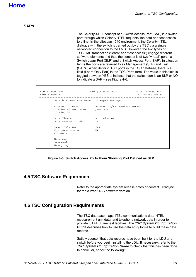<span id="page-30-0"></span>

**Figure 4-6: Switch Access Ports Form Showing Port Defined as SLP** 

#### **4.5 TSC Software Requirement**

Refer to the appropriate system release notes or contact Teradyne for the current TSC software version.

#### **4.6 TSC Configuration Requirements**

The TSC database maps 4TEL communications data, 4TEL measurement unit data, and telephone network data in order to provide full 4TEL line test facilities. The *TSC System Configuration Guide* describes how to use the data entry forms to build these data records.

Satisfy yourself that data records have been built for the LDU and switch before you begin installing the LDU. If necessary, refer to the *TSC System Configuration Guide* to check that this has been done. In particular, check the following: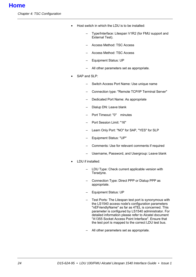*Chapter 4: TSC Configuration* 

- Host switch in which the LDU is to be installed:
	- Type/Interface: Litespan V1R2 (for FMU support and External Test).
	- Access Method: TSC Access
	- Access Method: TSC Access
	- Equipment Status: UP
	- All other parameters set as appropriate.
- SAP and SLP:
	- Switch Access Port Name: Use unique name
	- Connection type: "Remote TCP/IP Terminal Server"
	- Dedicated Port Name: As appropriate
	- Dialup DN: Leave blank
	- Port Timeout: "0" minutes
	- Port Session Limit: "16"
	- Learn Only Port: "NO" for SAP, "YES" for SLP
	- Equipment Status: "UP"
	- Comments: Use for relevant comments if required
	- Username, Password, and Usergroup: Leave blank
- LDU if installed:
	- LDU Type: Check current applicable version with Teradyne.
	- Connection Type: Direct PPP or Dialup PPP as appropriate.
	- Equipment Status: UP
	- Test Ports: The Litespan test port is synonymous with the LS1540 access node's configuration parameters "nEFriendlyName" as far as 4TEL is concerned. This parameter is configured by LS1540 administrator. For detailed information please refer to Alcatel document "A1355 Socket Access Point Interface". Ensure that the test port is mapped to the correct LDU test bus.
	- All other parameters set as appropriate.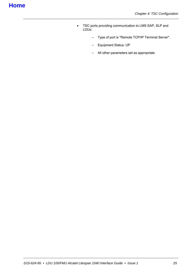- TSC ports providing communication to LMS SAP, SLP and LDUs:
	- Type of port is "Remote TCP/IP Terminal Server".
	- Equipment Status: UP
	- All other parameters set as appropriate.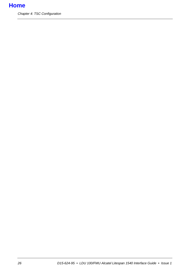*Chapter 4: TSC Configuration*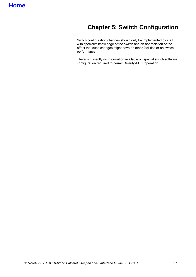## **Chapter 5: Switch Configuration**

<span id="page-34-0"></span>Switch configuration changes should only be implemented by staff with specialist knowledge of the switch and an appreciation of the effect that such changes might have on other facilities or on switch performance.

There is currently no information available on special switch software configuration required to permit Celerity-4TEL operation.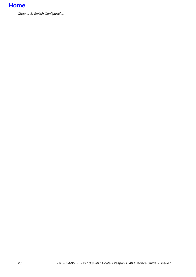*Chapter 5: Switch Configuration*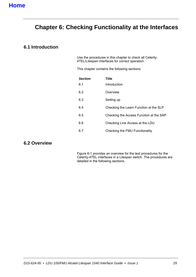# <span id="page-36-0"></span>**Chapter 6: Checking Functionality at the Interfaces**

## **6.1 Introduction**

Use the procedures in this chapter to check all Celerity-4TEL/Litespan interfaces for correct operation.

This chapter contains the following sections:

| <b>Section</b> | Title                                   |
|----------------|-----------------------------------------|
| 6.1            | Introduction                            |
| 6.2            | Overview                                |
| 6.3            | Setting up                              |
| 6.4            | Checking the Learn Function at the SLP  |
| 6.5            | Checking the Access Function at the SAP |
| 6.6            | Checking Line Access at the LDU         |
| 6.7            | Checking the FMU Functionality          |

## **6.2 Overview**

Figure 6-1 provides an overview for the test procedures for the Celerity-4TEL interfaces in a Litespan switch. The procedures are detailed in the following sections.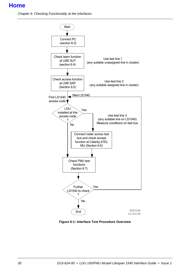<span id="page-37-0"></span>*Chapter 6: Checking Functionality at the Interfaces* 



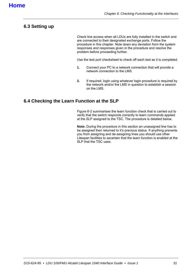## <span id="page-38-0"></span>**6.3 Setting up**

Check line access when all LDUs are fully installed in the switch and are connected to their designated exchange ports. Follow the procedure in this chapter. Note down any deviation from the system responses and responses given in the procedure and resolve the problem before proceeding further.

Use the test port checksheet to check off each test as it is completed.

- **1.** Connect your PC to a network connection that will provide a network connection to the LMS.
- **2.** If required, login using whatever login procedure is required by the network and/or the LMS in question to establish a session on the LMS.

## **6.4 Checking the Learn Function at the SLP**

Figure 6-2 summarises the learn function check that is carried out to verify that the switch responds correctly to learn commands applied at the SLP assigned to the TSC. The procedure is detailed below.

**Note:** During the procedure in this section an unassigned line has to be assigned then returned to it's previous status. If anything prevents you from assigning and de-assigning lines you should use other Litespan facilities to ascertain that the learn function is enabled at the SLP that the TSC uses.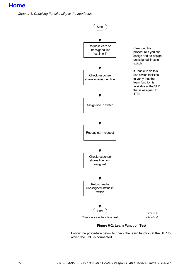*Chapter 6: Checking Functionality at the Interfaces* 



### **Figure 6-2: Learn Function Test**

Follow the procedure below to check the learn function at the SLP to which the TSC is connected.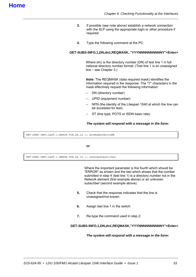- **3.** If possible (see note above) establish a network connection with the SLP using the appropriate login or other procedure if required.
- **4.** Type the following command at the PC:

### **GET-SUBS-INFO,1,DN,***dn1***,REQMASK, "YYYNNNNNNNNNNY"<Enter>**

Where *dn1* is the directory number (DN) of test line 1 in full national directory number format. (Test line 1 is an unassigned line – see Chapter 3.)

**Note:** The REQMASK (data required mask) identifies the information required in the response. The "Y" characters in the mask effectively request the following information:

- DN (directory number)
- UPID (equipment number)
- NFN (the identity of the Litespan 1540 at which the line can be accessed for test)
- ST (line type, POTS or ISDN basic rate)

### *The system will respond with a message in the form:*

GET-SUBS-INFO,LAST,1,ERROR,TOE,LE,14 => dirNumberNotInNE

### *or*

GET-SUBS-INFO,LAST,1,ERROR,TOE,LE,19 => unknownSubscriber

Where the important parameter is the fourth which should be "ERROR" as shown and the last which shows that the number submitted in step 4 (test line 1) is a directory number not in the Network element (first example above) or an unknown subscriber (second example above).

- **5.** Check that the response indicates that the line is unassigned/not known.
- **6.** Assign test line 1 in the switch
- **7.** Re-type the command used in step 2:

### **GET-SUBS-INFO,1,DN,***dn1***,REQMASK,"YYYNNNNNNNNNNY"<Enter>**

### *The system will respond with a message in the form:*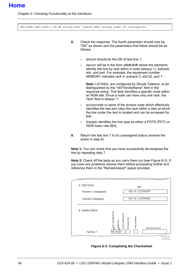*Chapter 6: Checking Functionality at the Interfaces* 

GET-SUBS-INFO,LAST,1,OK,DN *dirnum*,UPID "*eqnum*",NFN "*access\_node*",ST *linetype*<CR>

- **8.** Check the response. The fourth parameter should now be "OK" as shown and the parameters that follow should be as follows:
	- *dirnum* should be the DN of test line 1.
	- *eqnum* will be in the form *a*#*b*#*c*#*d*# where the elements identify the line by rack within a node (always 1), subrack, slot, and port. For example, the equipment number 4#3#02#1 indicates rack 4, subrack 3, slot 02, port 1.

**Note:** LS1540s, are configured by Slovak Telekom, to be distinguished by the "nEFriendlyName" field in the response string. This field identifies a specific node within an NGN site. Since a node can have only one rack, the 'rack' field is always '1'.

- *accessnode* is name of the access node which effectively identifies the test port (also the rack within a site) at which the line under the test is located and can be accessed for test.
- *linetype* identifies the line type as either a POTS (POT) or ISDN basic rate (BA).
- **9.** Return the test line 1 to it's unassigned status (reverse the action in step 6).

**Note 1:** You can check that you have successfully de-assigned the line by repeating step 7.

**Note 2:** Check off the tests as you carry them out (see Figure 6-3). If you have any problems resolve them before proceeding further and reference them in the "Remark/report" space provided.



**Figure 6-3: Completing the Checksheet**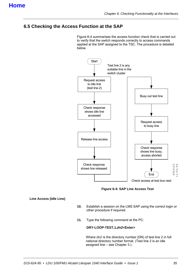# <span id="page-42-0"></span>**6.5 Checking the Access Function at the SAP**

Figure 6-4 summarises the access function check that is carried out to verify that the switch responds correctly to access commands applied at the SAP assigned to the TSC. The procedure is detailed below.



**Figure 6-4: SAP Line Access Test**

## **Line Access (Idle Line)**

- **10.** Establish a session on the LMS SAP using the correct login or other procedure if required.
- **11.** Type the following command at the PC:

### **DRY-LOOP-TEST,1,***dn2***<Enter>**

Where *dn2* is the directory number (DN) of test line 2 in full national directory number format. (Test line 2 is an idle assigned line – see Chapter 3.).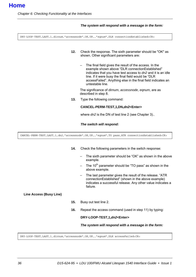*The system will respond with a message in the form:* 

DRY-LOOP-TEST,LAST,1,*dirnum*,"*accessnode*",OK,UP,,"*eqnum*",DLR connectionEstablished<CR>

- **12.** Check the response. The sixth parameter should be "OK" as shown. Other significant parameters are:
	- The final field gives the result of the access. In the example shown above "DLR connectionEstablished" indicates that you have test access to *dn2* and it is an idle line. If it were busy the final field would be "DLR accessFailed". Anything else in the final field indicates an untestable line.

The significance of *dirnum*, *accessnode*, *eqnum*, are as described in step 8.

**13.** Type the following command:

### **CANCEL-PERM-TEST,1,DN,***dn2***<Enter>**

where  $dn2$  is the DN of test line 2 (see Chapter 3)..

#### *The switch will respond:*

CANCEL-PERM-TEST,LAST,1,*dn2*,"*accessnode*",OK,UP,,"*eqnum*",TO pass,ATR connectionEstablished<CR>

- **14.** Check the following parameters in the switch response:
	- The sixth parameter should be "OK" as shown in the above example.
	- The 10<sup>th</sup> parameter should be "TO pass" as shown in the above example.
	- The last parameter gives the result of the release. "ATR connectionEstablished" (shown in the above example) indicates a successful release. Any other value indicates a failure.

### **Line Access (Busy Line)**

- **15.** Busy out test line 2.
- **16.** Repeat the access command (used in step 11) by typing:

### **DRY-LOOP-TEST,1,***dn2***<Enter>**

#### *The system will respond with a message in the form:*

DRY-LOOP-TEST,LAST,1,*dirnum*,"*accessnode*",OK,UP,,"*eqnum*",DLR accessFailed<CR>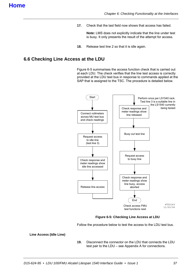**17.** Check that the last field now shows that access has failed.

**Note:** LMS does not explicitly indicate that the line under test is busy. It only presents the result of the attempt for access.

**18.** Release test line 2 so that it is idle again.

## <span id="page-44-0"></span>**6.6 Checking Line Access at the LDU**

Figure 6-5 summarises the access function check that is carried out at each LDU. The check verifies that the line test access is correctly provided at the LDU test bus in response to commands applied at the SAP that is assigned to the TSC. The procedure is detailed below.



### **Figure 6-5: Checking Line Access at LDU**

Follow the procedure below to test the access to the LDU test bus.

**Line Access (Idle Line)** 

**19.** Disconnect the connector on the LDU that connects the LDU test pair to the LDU – see Appendix A for connections.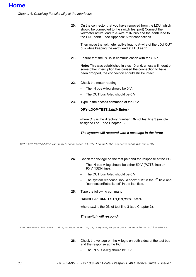*Chapter 6: Checking Functionality at the Interfaces* 

**20.** On the connector that you have removed from the LDU (which should be connected to the switch test port) Connect the voltmeter active lead to A-wire of IN bus and the earth lead to the LDU earth – see Appendix A for connections.

Then move the voltmeter active lead to A-wire of the LDU OUT bus while keeping the earth lead at LDU earth.

**21.** Ensure that the PC is in communication with the SAP.

**Note:** This was established in step 10 and, unless a timeout or some other interruption has caused the connection to have been dropped, the connection should still be intact.

- **22.** Check the meter reading:
	- The IN bus A-leg should be 0 V.
	- The OUT bus A-leg should be 0 V.
- **23.** Type in the access command at the PC:

### **DRY-LOOP-TEST,1,***dn3***<Enter>**

where *dn3* is the directory number (DN) of test line 3 (an idle assigned line – see Chapter 3).

### *The system will respond with a message in the form:*

DRY-LOOP-TEST,LAST,1,*dirnum*,"*accessnode*",OK,UP,,"*eqnum*",DLR connectionEstablished<CR>

- **24.** Check the voltage on the test pair and the response at the PC:
	- The IN bus A-leg should be either 50 V (POTS line) or 90 V (ISDN line).
	- The OUT bus A-leg should be 0 V.
	- The system response should show "OK" in the 6<sup>th</sup> field and "connectionEstablished" in the last field.
- **25.** Type the following command:

### **CANCEL-PERM-TEST,1,DN,***dn3***<Enter>**

where *dn3* is the DN of test line 3 (see Chapter 3).

### *The switch will respond:*

CANCEL-PERM-TEST,LAST,1,*dn2*,"*accessnode*",OK,UP,,"*eqnum*",TO pass,ATR connectionEstablished<CR>

- **26.** Check the voltage on the A-leg s on both sides of the test bus and the response at the PC:
	- The IN bus A-leg should be 0 V.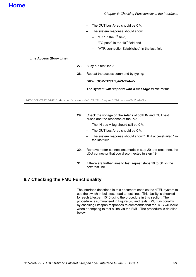- The OUT bus A-leg should be 0 V.
- The system response should show:
	- $-$  "OK" in the  $6<sup>th</sup>$  field.
	- "TO pass" in the 10th field and
	- "ATR connectionEstablished" in the last field.

<span id="page-46-0"></span>

| Line Access (Busy Line) |  |
|-------------------------|--|
|-------------------------|--|

- **27.** Busy out test line 3.
- **28.** Repeat the access command by typing:

**DRY-LOOP-TEST,1,***dn3***<Enter>**

*The system will respond with a message in the form:* 

DRY-LOOP-TEST,LAST,1,*dirnum*,"*accessnode*",OK,UP,,"*eqnum*",DLR accessFailed<CR>

- **29.** Check the voltage on the A-legs of both IN and OUT test buses and the response at the PC:
	- The IN bus A-leg should still be 0 V.
	- The OUT bus A-leg should be 0 V.
	- The system response should show " DLR accessFailed " in the last field.
- **30.** Remove meter connections made in step 20 and reconnect the LDU connector that you disconnected in step 19.
- **31.** If there are further lines to test, repeat steps 19 to 30 on the next test line.

## **6.7 Checking the FMU Functionality**

The interface described in this document enables the 4TEL system to use the switch in-built test head to test lines. This facility is checked for each Litespan 1540 using the procedure in this section. The procedure is summarised in Figure 6-6 and tests FMU functionality by checking Litespan responses to commands that the TSC will issue when attempting to test a line via the FMU. The procedure is detailed below.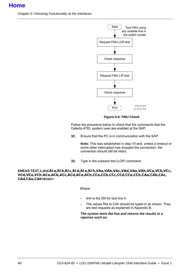*Chapter 6: Checking Functionality at the Interfaces* 



**Figure 6-6: FMU Check** 

Follow the procedure below to check that the commands that the Celerity-4TEL system uses are enabled at the SAP.

**32.** Ensure that the PC is in communication with the SAP.

**Note:** This was established in step 10 and, unless a timeout or some other interruption has dropped the connection, the connection should still be intact.

**33.** Type in the outward test (LOP) command:

**EMEAS-TEST,1,***dn4***,RIa,RIb,RIc,RId,RIe,RIh,VAa,VAb,VAc,VAd,VAe,VAh,VCa,VCb,VCc, VCd,VCe,VCh,ACa,ACb,ACc,ACd,ACe,ACh,CCa,CCb,CCc,CCd,CCe,CCh,CAa,CAb,CAc, CAd,CAe,CAh<Enter>**

### Where:

- *dn4* is the DN for test line 4.
- The values RIa to CAh should be typed in as shown. They are test requests as explained in Appendix B.

*The system tests the line and returns the results in a reponse such as:*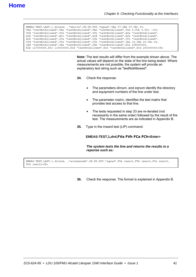| EMEAS-TEST, LAST, 1, dirnum, , "matrix", OK, UP, POT, "eqnum", VAa 97, VAb 97, VAc 93,            |  |
|---------------------------------------------------------------------------------------------------|--|
| VAd "testNotAllowed", VAe "testNotAllowed", VAh "testNotAllowed", VCa 0, VCb 0, VCc -100,         |  |
| VCd "testNotAllowed", VCe "testNotAllowed", VCh "testNotAllowed", ACa "testNotAllowed",           |  |
| ACb "testNotAllowed", ACc "testNotAllowed", ACd "testNotAllowed", ACe "testNotAllowed",           |  |
| ACh "testNotAllowed", CCa "testNotAllowed", CCb "testNotAllowed", CCc "testNotAllowed",           |  |
| CCd "testNotAllowed", CCe "testNotAllowed", CCh "testNotAllowed", CAa 14, CAb 29, CAc 26,         |  |
| CAd "testNotAllowed", CAe "testNotAllowed", CAh "testNotAllowed", RIa 208000000,                  |  |
| RIb 127000000, RIc 115000000, RId "testNotAllowed", RIe "testNotAllowed", RIh 205000000 <cr></cr> |  |

**Note:** The test results will differ from the example shown above. The actual values will depend on the state of the line being tested. Where measurements are not possible, the system will provide an explanatory text string such as "testNotAllowed".

- **34.** Check the response:
	- The parameters *dirnum*, and *eqnum* identify the directory and equipment numbers of the line under test.
	- The parameter *matrix*, identifies the test matrix that provides test access to that line.
	- The tests requested in step 33 are re-iterated (not necessarily in the same order) followed by the result of the test. The measurements are as indicated in Appendix B.
- **35.** Type in the inward test (LIP) command:

#### **EMEAS-TEST,1,***dn4***,FVa FVh FCa FCh<Enter>**

*The system tests the line and returns the results in a reponse such as:* 

EMEAS-TEST,LAST,1,*dirnum*, ,"*accessnode*",OK,UP,POT,"*eqnum*",FVa *result*,FVh *result*,FCa *result*, FCh *result*<CR>

**36.** Check the response. The format is explained in Appendix B.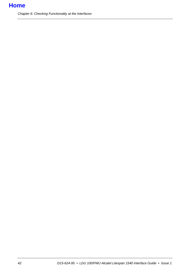*Chapter 6: Checking Functionality at the Interfaces*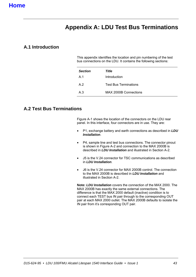# **Appendix A: LDU Test Bus Terminations**

## <span id="page-50-0"></span>**A.1 Introduction**

This appendix identifies the location and pin numbering of the test bus connections on the LDU. It contains the following sections:

| <b>Section</b> | Title                        |
|----------------|------------------------------|
| A.1            | Introduction                 |
| A.2            | <b>Test Bus Terminations</b> |
| A.3            | MAX 2000B Connections        |

## **A.2 Test Bus Terminations**

Figure A-1 shows the location of the connectors on the LDU rear panel. In this interface, four connectors are in use. They are:

- P1, exchange battery and earth connections as described in *LDU Installation*.
- P4, sample line and test bus connections. The connector pinout is shown in Figure A-2 and connection to the MAX 2000B is described in *LDU Installation* and illustrated in Section A-2.
- J5 is the V.24 connector for TSC communications as described in *LDU Installation*.
- J6 is the V.24 connector for MAX 2000B control. The connection to the MAX 2000B is described in *LDU Installation* and illustrated in Section A-2.

**Note:** *LDU Installation* covers the connection of the MAX 2000. The MAX 2000B has exactly the same external connections. The difference is that the MAX 2000 default (inactive) condition is to connect each TEST bus IN pair through to the corresponding OUT pair at each MAX 2000 outlet. The MAX 2000B defaults to isolate the IN pair from it's corresponding OUT pair.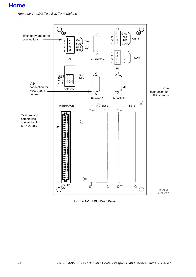*Appendix A: LDU Test Bus Terminations* 



**Figure A-1: LDU Rear Panel**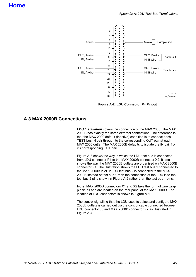<span id="page-52-0"></span>

**Figure A-2: LDU Connector P4 Pinout** 

## **A.3 MAX 2000B Connections**

*LDU Installation* covers the connection of the MAX 2000. The MAX 2000B has exactly the same external connections. The difference is that the MAX 2000 default (inactive) condition is to connect each TEST bus IN pair through to the corresponding OUT pair at each MAX 2000 outlet. The MAX 2000B defaults to isolate the IN pair from it's corresponding OUT pair.

Figure A-3 shows the way in which the LDU test bus is connected from LDU connector P4 to the MAX 2000B connector X2. It also shows the way the MAX 2000B outlets are organised on MAX 2000B connector X1. The illustration shows the LDU test bus 1 connected to the MAX 2000B inlet. If LDU test bus 2 is connected to the MAX 2000B instead of test bus 1 then the connection at the LDU is to the test bus 2 pins shown in Figure A-2 rather than the test bus 1 pins.

**Note:** MAX 2000B connectors X1 and X2 take the form of wire wrap pin fields and are located on the rear panel of the MAX 2000B. The location of LDU connectors is shown in Figure A-1.

The control signalling that the LDU uses to select and configure MAX 2000B outlets is carried out via the control cable connected between LDU connector J6 and MAX 2000B connector X2 as illustrated in Figure A-4.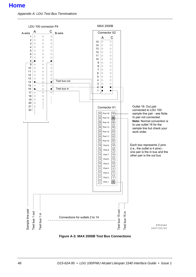*Appendix A: LDU Test Bus Terminations* 



**Figure A-3: MAX 2000B Test Bus Connections**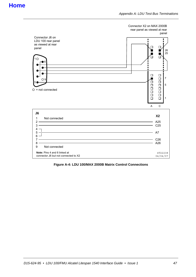

**Figure A-4: LDU 100/MAX 2000B Matrix Control Connections**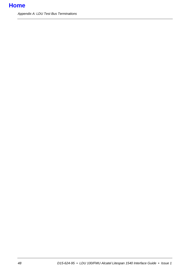*Appendix A: LDU Test Bus Terminations*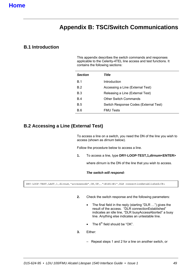# **Appendix B: TSC/Switch Communications**

## <span id="page-56-0"></span>**B.1 Introduction**

This appendix describes the switch commands and responses applicable to the Celerity-4TEL line access and test functions. It contains the following sections:

| <b>Section</b> | Title                                 |
|----------------|---------------------------------------|
| B.1            | Introduction                          |
| <b>B.2</b>     | Accessing a Line (External Test)      |
| <b>B.3</b>     | Releasing a Line (External Test)      |
| <b>B.4</b>     | Other Switch Commands                 |
| <b>B.5</b>     | Switch Response Codes (External Test) |
| <b>B.6</b>     | <b>FMU Tests</b>                      |

## **B.2 Accessing a Line (External Test)**

To access a line on a switch, you need the DN of the line you wish to access (shown as *dirnum* below).

Follow the procedure below to access a line.

**1.** To access a line, type **DRY-LOOP-TEST,1,***dirnum***<ENTER>**

where *dirnum* is the DN of the line that you wish to access.

### *The switch will respond:*

DRY-LOOP-TEST,LAST,1,*dirnum*,"*accessnode*",OK,UP,,"1#1#13#1",DLR connectionEstablished<CR>

- **2.** Check the switch response and the following parameters:
	- The final field in the reply (starting "DLR ...") gives the result of the access. "DLR connectionEstablished" indicates an idle line, "DLR busyAccessAborted" a busy line. Anything else indicates an untestable line.
	- The  $6<sup>th</sup>$  field should be "OK".
- **3.** Either:
	- Repeat steps 1 and 2 for a line on another switch, or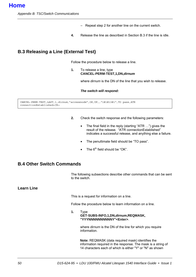<span id="page-57-0"></span>*Appendix B: TSC/Switch Communications* 

- Repeat step 2 for another line on the current switch.
- **4.** Release the line as described in Section B.3 if the line is idle.

## **B.3 Releasing a Line (External Test)**

Follow the procedure below to release a line.

**1.** To release a line, type **CANCEL-PERM-TEST,1,DN,***dirnum*

where *dirnum* is the DN of the line that you wish to release.

#### *The switch will respond:*

CANCEL-PERM-TEST,LAST,1,*dirnum*,"*accessnode*",OK,UP,,"1#1#13#1",TO pass,ATR connectionEstablished<CR>

- **2.** Check the switch response and the following parameters:
	- The final field in the reply (starting "ATR …") gives the result of the release. "ATR connectionEstablished" indicates a successful release, and anything else a failure.
	- The penultimate field should be "TO pass".
	- The  $6<sup>th</sup>$  field should be "OK".

## **B.4 Other Switch Commands**

The following subsections describe other commands that can be sent to the switch.

## **Learn Line**

This is a request for information on a line.

Follow the procedure below to learn information on a line.

**1.** Type **GET-SUBS-INFO,1,DN,***dirnum***,REQMASK, "YYYNNNNNNNNNNY"<Enter>**.

> where *dirnum* is the DN of the line for which you require information.

**Note:** REQMASK (data required mask) identifies the information required in the response. The mask is a string of 14 characters each of which is either "Y" or "N" as shown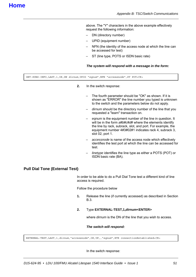above. The "Y" characters in the above example effectively request the following information:

- DN (directory number)
- UPID (equipment number)
- NFN (the identity of the access node at which the line can be accessed for test)
- ST (line type, POTS or ISDN basic rate)

#### *The system will respond with a message in the form:*

GET-SUBS-INFO,LAST,1,OK,DN *dirnum*,UPID "*eqnum*",NFN "*accessnode*",ST POT<CR>

- **2.** In the switch response:
	- The fourth parameter should be "OK" as shown. If it is shown as "ERROR" the line number you typed is unknown to the switch and the parameters below do not apply.
	- *dirnum* should be the directory number of the line that you requested a "learn" transaction on.
	- *eqnum* is the equipment number of the line in question. It will be in the form *a*#*b*#*c*#*d*# where the elements identify the line by rack, subrack, slot, and port. For example, the equipment number 4#3#02#1 indicates rack 4, subrack 3, slot 02, port 1.
	- *accessnode* is name of the access node which effectively identifies the test port at which the line can be accessed for test.
	- *linetype* identifies the line type as either a POTS (POT) or ISDN basic rate (BA).

### **Pull Dial Tone (External Test)**

In order to be able to do a Pull Dial Tone test a different kind of line access is required.

Follow the procedure below

- **1.** Release the line (if currently accessed) as described in Section B.3.
- **2.** Type **EXTERNAL-TEST,1,***dirnum***<ENTER>**

where *dirnum* is the DN of the line that you wish to access.

#### *The switch will respond:*

EXTERNAL-TEST,LAST,1,*dirnum*,"*accessnode*",OK,UP,,"*eqnum*",ETR connectionEstablished<CR>

In the switch response: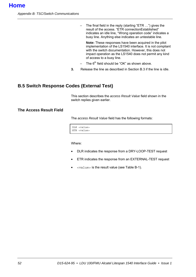<span id="page-59-0"></span>*Appendix B: TSC/Switch Communications* 

*–* The final field in the reply (starting "ETR …") gives the result of the access. "ETR connectionEstablished" indicates an idle line, "Wrong operation code" indicates a busy line. Anything else indicates an untestable line.

 **Note:** These responses have been acquired in the pilot implementation of the LS1540 interface. It is not compliant with the switch documentation. However, this does not impact operation as the LS1540 does not permit any kind of access to a busy line.

- The 6<sup>th</sup> field should be "OK" as shown above.
- **3.** Release the line as described in Section B.3 if the line is idle.

## **B.5 Switch Response Codes (External Test)**

This section describes the *access Result Value* field shown in the switch replies given earlier.

### **The Access Result Field**

The *access Result Value* field has the following formats:

DLR <value> ETR <value>

### Where:

- DLR indicates the response from a DRY-LOOP-TEST request
- ETR indicates the response from an EXTERNAL-TEST request
- <value> is the result value (see Table B-1).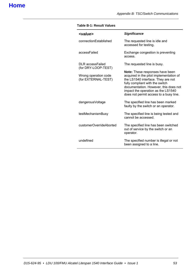| <value></value>                                | <b>Significance</b>                                                                                                                                                                                                                                                          |
|------------------------------------------------|------------------------------------------------------------------------------------------------------------------------------------------------------------------------------------------------------------------------------------------------------------------------------|
| connectionEstablished                          | The requested line is idle and<br>accessed for testing.                                                                                                                                                                                                                      |
| accessFailed                                   | Exchange congestion is preventing<br>access.                                                                                                                                                                                                                                 |
| <b>DLR</b> accessFailed<br>(for DRY-LOOP-TEST) | The requested line is busy.                                                                                                                                                                                                                                                  |
| Wrong operation code<br>(for EXTERNAL-TEST)    | Note: These responses have been<br>acquired in the pilot implementation of<br>the LS1540 interface. They are not<br>fully compliant with the switch<br>documentation. However, this does not<br>impact the operation as the LS1540<br>does not permit access to a busy line. |
| dangerousVoltage                               | The specified line has been marked<br>faulty by the switch or an operator.                                                                                                                                                                                                   |
| testMechanismBusy                              | The specified line is being tested and<br>cannot be accessed.                                                                                                                                                                                                                |
| customerOverrideAborted                        | The specified line has been switched<br>out of service by the switch or an<br>operator.                                                                                                                                                                                      |
| undefined                                      | The specified number is illegal or not<br>been assigned to a line.                                                                                                                                                                                                           |

### **Table B-1: Result Values**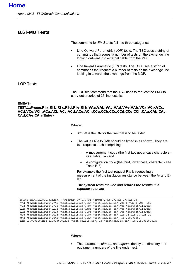## **B.6 FMU Tests**

The command for FMU tests fall into three categories:

- Line Outward Parametric (LOP) tests. The TSC uses a string of commands that request a number of tests on the exchange line looking outward into external cable from the MDF.
- Line Inward Parametric (LIP) tests. The TSC uses a string of commands that request a number of tests on the exchange line looking in towards the exchange from the MDF.

## **LOP Tests**

The LOP test command that the TSC uses to request the FMU to carry out a series of 36 line tests is:

### **EMEAS-**

**TEST,1,***dirnum***,RIa,RIb,RIc,RId,RIe,RIh,VAa,VAb,VAc,VAd,VAe,VAh,VCa,VCb,VCc, VCd,VCe,VCh,ACa,ACb,ACc,ACd,ACe,ACh,CCa,CCb,CCc,CCd,CCe,CCh,CAa,CAb,CAc, CAd,CAe,CAh<Enter>**

### Where:

- dirnum is the DN for the line that is to be tested.
- The values RIa to CAh should be typed in as shown. They are test requests each comprising;
	- A measurement code (the first two upper case characters see Table B-2) and
	- A configuration code (the third, lower case, character see Table B-3)

For example the first test request RIa is requesting a measurement of the insulation resistance between the A- and Bleg.

*The system tests the line and returns the results in a reponse such as:* 

```
EMEAS-TEST,LAST,1,dirnum, ,"matrix",OK,UP,POT,"eqnum",VAa 97,VAb 97,VAc 93, 
VAd "testNotAllowed",VAe "testNotAllowed",VAh "testNotAllowed",VCa 0,VCb 0,VCc -100, 
VCd "testNotAllowed",VCe "testNotAllowed",VCh "testNotAllowed",ACa "testNotAllowed", 
ACb "testNotAllowed",ACc "testNotAllowed",ACd "testNotAllowed",ACe "testNotAllowed", 
ACh "testNotAllowed",CCa "testNotAllowed",CCb "testNotAllowed",CCc "testNotAllowed", 
CCd "testNotAllowed",CCe "testNotAllowed",CCh "testNotAllowed",CAa 14,CAb 29,CAc 26, 
CAd "testNotAllowed",CAe "testNotAllowed",CAh "testNotAllowed",RIa 208000000, 
RIb 127000000,RIc 115000000,RId "testNotAllowed",RIe "testNotAllowed",RIh 205000000<CR>
```
### Where:

• The parameters *dirnum*, and *eqnum* identify the directory and equipment numbers of the line under test.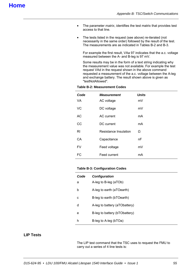- <span id="page-62-0"></span>• The parameter *matrix*, identifies the test matrix that provides test access to that line.
- The tests listed in the request (see above) re-iterated (not necessarily in the same order) followed by the result of the test. The measurements are as indicated in Tables B-2 and B-3.

For example the first result, VAa 97 indicates that the a.c. voltage measured between the A- and B-leg is 97 mV.

Some results may be in the form of a text string indicating why the measurement value was not available. For example the test request VAd in the request shown in the above command requested a measurement of the a.c. voltage between the A-leg and exchange battery. The result shown above is given as "testNotAllowed".

| Code      | <b>Measurement</b>    | <b>Units</b> |
|-----------|-----------------------|--------------|
| VA        | AC voltage            | mV           |
| VC        | DC voltage            | mV           |
| <b>AC</b> | AC current            | mA           |
| CC        | DC current            | mA           |
| RI        | Resistance Insulation | Ω            |
| CA        | Capacitance           | nF           |
| <b>FV</b> | Feed voltage          | mV           |
| <b>FC</b> | Feed current          | mA           |

#### **Table B-2: Measurement Codes**

### **Table B-3: Configuration Codes**

| Code | <b>Configuration</b>          |
|------|-------------------------------|
| a    | A-leg to B-leg (aTOb)         |
| b    | A-leg to earth (aTOearth)     |
| с    | B-leg to earth (bTOearth)     |
| d    | A-leg to battery (aTObattery) |
| е    | B-leg to battery (bTObattery) |
| h    | B-leg to A-leg (bTOa)         |

### **LIP Tests**

The LIP test command that the TSC uses to request the FMU to carry out a series of 4 line tests is: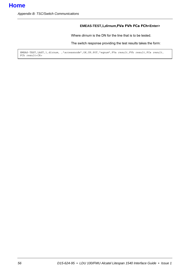*Appendix B: TSC/Switch Communications* 

### **EMEAS-TEST,1,***dirnum***,FVa FVh FCa FCh<Enter>**

Where *dirnum* is the DN for the line that is to be tested.

The switch response providing the test results takes the form:

EMEAS-TEST,LAST,1,*dirnum*, ,"*accessnode*",OK,UP,POT,"*eqnum*",FVa *result*,FVh *result*,FCa *result*, FCh *result*<CR>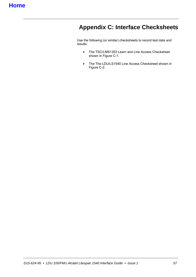# <span id="page-64-0"></span>**Appendix C: Interface Checksheets**

Use the following (or similar) checksheets to record test data and results:

- The TSC/LMS1353 Learn and Line Access Checksheet shown in Figure C-1.
- The The LDU/LS1540 Line Access Checksheet shown in Figure C-2.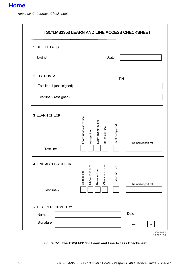<span id="page-65-0"></span>*Appendix C: Interface Checksheets* 

| 1 SITE DETAILS           |                                      |                                                         |                    |                    |
|--------------------------|--------------------------------------|---------------------------------------------------------|--------------------|--------------------|
| <b>District</b>          |                                      |                                                         | Switch             |                    |
| 2 TEST DATA              |                                      |                                                         | <b>DN</b>          |                    |
| Test line 1 (unassigned) |                                      |                                                         |                    |                    |
| Test line 2 (assigned)   |                                      |                                                         |                    |                    |
| 3 LEARN CHECK            | Learn unassigned line<br>Assign line | Learn assigned line<br>De-assign line                   | Test completed     | Remark/report ref. |
| Test line 1              |                                      |                                                         |                    |                    |
| 4 LINE ACCESS CHECK      | Check response<br>Access line        | onse<br>$\pmb{\mathsf{v}}$<br>Check resp<br>Release lin | eted<br>Test compl | Remark/report ref. |
| Test line 2              |                                      |                                                         |                    |                    |
| 5 TEST PERFORMED BY      |                                      |                                                         |                    |                    |
| Name                     |                                      |                                                         |                    | Date               |

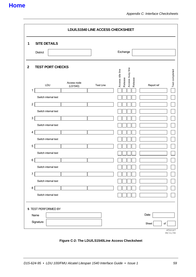<span id="page-66-0"></span>

| LDU/LS1540 LINE ACCESS CHECKSHEET |                             |                         |                  |                                                            |             |                |
|-----------------------------------|-----------------------------|-------------------------|------------------|------------------------------------------------------------|-------------|----------------|
| 1                                 | <b>SITE DETAILS</b>         |                         |                  |                                                            |             |                |
|                                   | <b>District</b>             |                         |                  | Exchange                                                   |             |                |
| $\mathbf 2$                       | <b>TEST PORT CHECKS</b>     |                         |                  |                                                            |             |                |
| 1                                 | LDU                         | Access node<br>(LS1540) | <b>Test Line</b> | Access busy line<br>Access idle line<br>Release<br>Release | Report ref  | Test completed |
|                                   | Switch internal test        |                         |                  |                                                            |             |                |
| $\mathbf 2$                       | Switch internal test        |                         |                  |                                                            |             |                |
| $\ensuremath{\mathsf{3}}$         | Switch internal test        |                         |                  |                                                            |             |                |
| 4                                 | Switch internal test        |                         |                  |                                                            |             |                |
| $\sqrt{5}$                        | Switch internal test        |                         |                  |                                                            |             |                |
| $\,6\,$<br>7                      | Switch internal test        |                         |                  |                                                            |             |                |
|                                   | Switch internal test        |                         |                  |                                                            |             |                |
| 8                                 | Switch internal test        |                         |                  |                                                            |             |                |
|                                   | 5 TEST PERFORMED BY<br>Name |                         |                  |                                                            | Date        |                |
|                                   | Signature                   |                         |                  |                                                            | Sheet<br>of | 4T22167        |

08/11/06

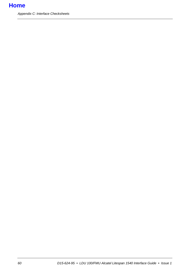*Appendix C: Interface Checksheets*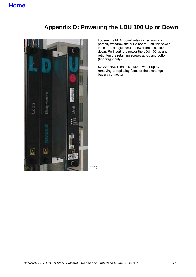# **Appendix D: Powering the LDU 100 Up or Down**

<span id="page-68-0"></span>

Loosen the MTM board retaining screws and partially withdraw the MTM board (until the power indicator extinguishes) to power the LDU 100 down. Re-insert it to power the LDU 100 up and retighten the retaining screws at top and bottom (fingertight only).

*Do not* power the LDU 100 down or up by removing or replacing fuses or the exchange battery connector.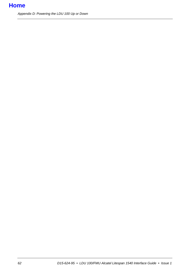*Appendix D: Powering the LDU 100 Up or Down*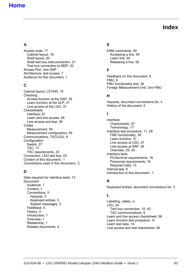# **Index**

# **A**

Access node, [17](#page-24-0)  Cabinet layout, [19](#page-26-0)  Shelf layout, [20](#page-27-0)  Shelf test bus interconnection, [21](#page-28-0)  Test bus connection to MDF, [22](#page-29-0)  Access Port. *See* SAP Architecture, test access, [7](#page-14-0)  Audience for this document, [1](#page-8-0) 

## **C**

Cabinet layout, LS1540, [19](#page-26-0)  **Checking** Access function at the SAP, [35](#page-42-0)  Learn function at the SLP, [31](#page-38-0)  Line access at the LDU, [37](#page-44-0)  **Checksheets** Interface, [57](#page-64-0)  Learn and line access, [58](#page-65-0)  Line access and test, [59](#page-66-0)  Codes Measurement, [55](#page-62-0)  Measurement configuration, [55](#page-62-0)  Communications, TSC/LDU, [9](#page-16-0)  Configuration Switch, [27](#page-34-0)  TSC, [17](#page-24-0)  TSC requirements, [23](#page-30-0)  Connection, LDU test bus, [43](#page-50-0)  Content of this document:, [1](#page-8-0)  Conventions used in this document:, [3](#page-10-0) 

## **D**

Data required for interface tests, [13](#page-20-0)  **Document** Audience, [1](#page-8-0)  Content, [1](#page-8-0)  Conventions, [3](#page-10-0)  Hazards, [3](#page-10-0)  Keyboard entries, [3](#page-10-0)  System messages, [3](#page-10-0)  Feedback, [5](#page-12-0)  History, [2](#page-9-0)  Introduction, [1](#page-8-0)  Overview, [1](#page-8-0)  Readership, [1](#page-8-0)  Related documents, [4](#page-11-0) 

## **E**

ENM commands, [49](#page-56-0)  Accessing a line, [49](#page-56-0)  Learn line, [50](#page-57-0)  Releasing a line, [50](#page-57-0) 

## **F**

Feedback on this document, [5](#page-12-0)  FMU, [8](#page-15-0)  FMU functionality test, [39](#page-46-0)  Foreign Measurement Unit. *See* FMU

## **H**

Hazards, document conventions for, [3](#page-10-0)  History of the document, [2](#page-9-0) 

## **I**

Interface Checksheets, [57](#page-64-0)  Terminology, [17](#page-24-0)  Interface test procedure, [11,](#page-18-0) [29](#page-36-0)  FMU functionality, [39](#page-46-0)  Learn function, [31](#page-38-0)  Line access at LDU, [37](#page-44-0)  Line access at SAP, [35](#page-42-0)  Overview, [29,](#page-36-0) [30](#page-37-0)  Interface tests PC/terminal requirements, [16](#page-23-0)  Personnel requirements, [16](#page-23-0)  Required data, [13](#page-20-0)  Internal test, [8](#page-15-0)  Introduction to this document:, [1](#page-8-0) 

## **K**

Keyboard entries, document conventions for, [3](#page-10-0) 

## **L**

Labelling, safety, [vi](#page-7-0)  LDU, [24](#page-31-0)  Test bus connection, [10,](#page-17-0) [43](#page-50-0)  TSC communications, [9](#page-16-0)  Learn and line access checksheet, [58](#page-65-0)  Learn function test procedure, [31](#page-38-0)  Learn test data, [14](#page-21-0)  Line access and test checksheet, [59](#page-66-0)